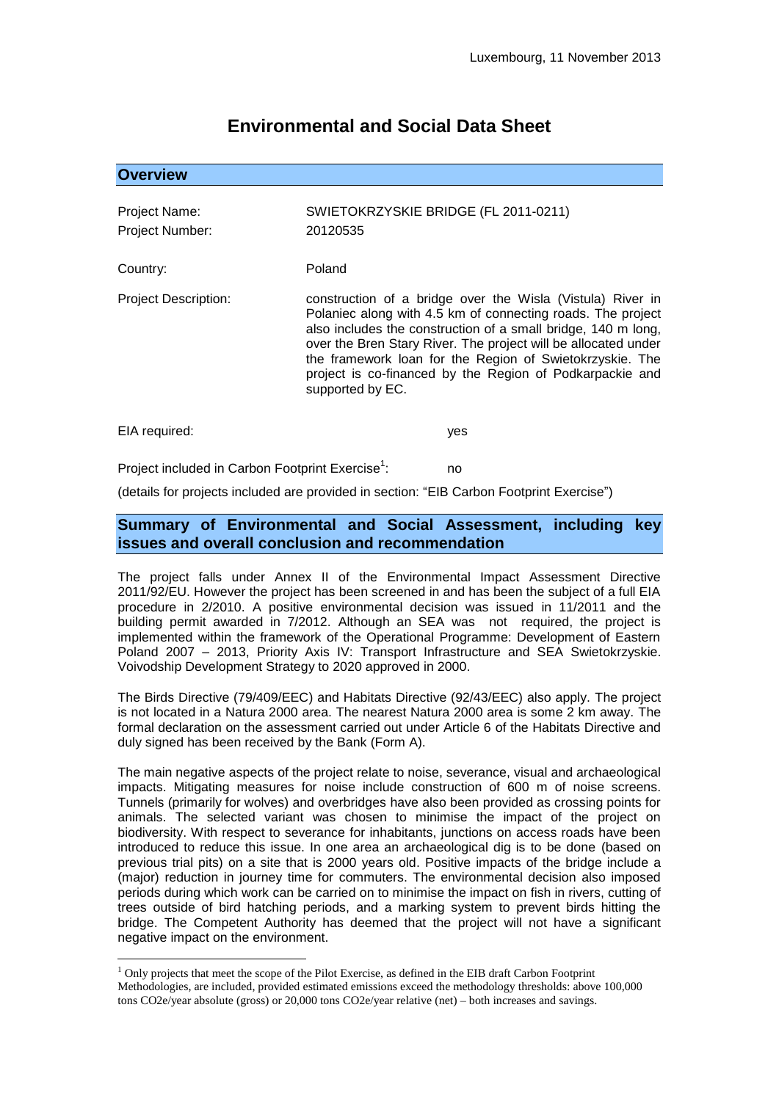# **Environmental and Social Data Sheet**

## **Overview**

| Project Name:   | SWIETOKRZYSKIE BRIDGE (FL 2011-0211) |
|-----------------|--------------------------------------|
| Project Number: | 20120535                             |

Country: Poland

Project Description: construction of a bridge over the Wisla (Vistula) River in Polaniec along with 4.5 km of connecting roads. The project also includes the construction of a small bridge, 140 m long, over the Bren Stary River. The project will be allocated under the framework loan for the Region of Swietokrzyskie. The project is co-financed by the Region of Podkarpackie and supported by EC.

EIA required: yes

1

Project included in Carbon Footprint Exercise<sup>1</sup>: : no

(details for projects included are provided in section: "EIB Carbon Footprint Exercise")

# **Summary of Environmental and Social Assessment, including key issues and overall conclusion and recommendation**

The project falls under Annex II of the Environmental Impact Assessment Directive 2011/92/EU. However the project has been screened in and has been the subject of a full EIA procedure in 2/2010. A positive environmental decision was issued in 11/2011 and the building permit awarded in 7/2012. Although an SEA was not required, the project is implemented within the framework of the Operational Programme: Development of Eastern Poland 2007 – 2013, Priority Axis IV: Transport Infrastructure and SEA Swietokrzyskie. Voivodship Development Strategy to 2020 approved in 2000.

The Birds Directive (79/409/EEC) and Habitats Directive (92/43/EEC) also apply. The project is not located in a Natura 2000 area. The nearest Natura 2000 area is some 2 km away. The formal declaration on the assessment carried out under Article 6 of the Habitats Directive and duly signed has been received by the Bank (Form A).

The main negative aspects of the project relate to noise, severance, visual and archaeological impacts. Mitigating measures for noise include construction of 600 m of noise screens. Tunnels (primarily for wolves) and overbridges have also been provided as crossing points for animals. The selected variant was chosen to minimise the impact of the project on biodiversity. With respect to severance for inhabitants, junctions on access roads have been introduced to reduce this issue. In one area an archaeological dig is to be done (based on previous trial pits) on a site that is 2000 years old. Positive impacts of the bridge include a (major) reduction in journey time for commuters. The environmental decision also imposed periods during which work can be carried on to minimise the impact on fish in rivers, cutting of trees outside of bird hatching periods, and a marking system to prevent birds hitting the bridge. The Competent Authority has deemed that the project will not have a significant negative impact on the environment.

 $<sup>1</sup>$  Only projects that meet the scope of the Pilot Exercise, as defined in the EIB draft Carbon Footprint</sup> Methodologies, are included, provided estimated emissions exceed the methodology thresholds: above 100,000 tons CO2e/year absolute (gross) or 20,000 tons CO2e/year relative (net) – both increases and savings.